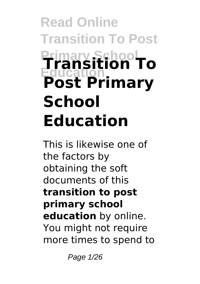# **Read Online Transition To Post Primary School Education Transition To Post Primary School Education**

This is likewise one of the factors by obtaining the soft documents of this **transition to post primary school education** by online. You might not require more times to spend to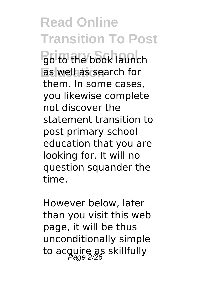**Read Online Transition To Post Primary School** go to the book launch as well as search for them. In some cases, you likewise complete not discover the statement transition to post primary school education that you are looking for. It will no question squander the time.

However below, later than you visit this web page, it will be thus unconditionally simple to acquire as skillfully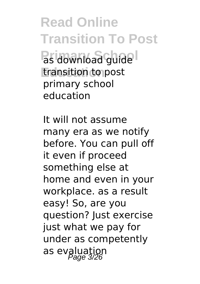**Read Online Transition To Post Primary School Education** transition to post primary school education

It will not assume many era as we notify before. You can pull off it even if proceed something else at home and even in your workplace. as a result easy! So, are you question? Just exercise just what we pay for under as competently as evaluation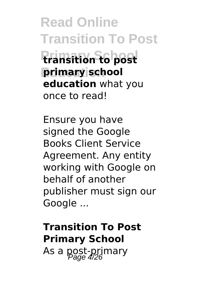**Read Online Transition To Post**

**Primary School transition to post primary school education** what you once to read!

Ensure you have signed the Google Books Client Service Agreement. Any entity working with Google on behalf of another publisher must sign our Google ...

### **Transition To Post Primary School** As a post-primary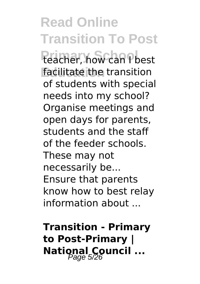**Read Online Transition To Post Primary School** teacher, how can I best **Education** facilitate the transition of students with special needs into my school? Organise meetings and open days for parents, students and the staff of the feeder schools. These may not necessarily be... Ensure that parents know how to best relay information about ...

**Transition - Primary to Post-Primary | National Council ...**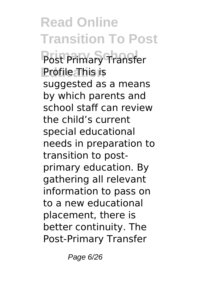**Read Online Transition To Post** Post Primary Transfer **Profile This is** suggested as a means by which parents and school staff can review the child's current special educational needs in preparation to transition to postprimary education. By gathering all relevant information to pass on to a new educational placement, there is better continuity. The Post-Primary Transfer

Page 6/26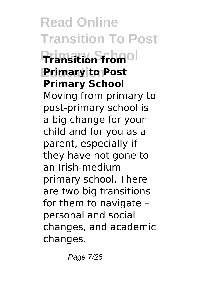**Read Online Transition To Post Primary School Transition from Primary to Post Primary School** Moving from primary to post-primary school is a big change for your child and for you as a parent, especially if they have not gone to an Irish-medium primary school. There are two big transitions for them to navigate – personal and social changes, and academic changes.

Page 7/26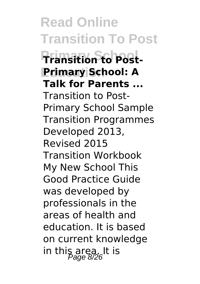**Read Online Transition To Post Primary School Transition to Post-Education Primary School: A Talk for Parents ...** Transition to Post-Primary School Sample Transition Programmes Developed 2013, Revised 2015 Transition Workbook My New School This Good Practice Guide was developed by professionals in the areas of health and education. It is based on current knowledge in this area. It is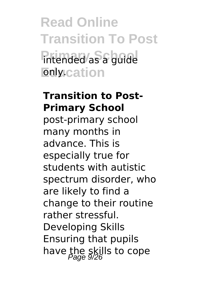**Read Online Transition To Post Primary As a guide Enly.cation** 

#### **Transition to Post-Primary School**

post-primary school many months in advance. This is especially true for students with autistic spectrum disorder, who are likely to find a change to their routine rather stressful. Developing Skills Ensuring that pupils have the skills to cope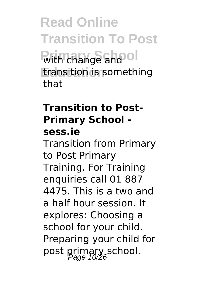**Read Online Transition To Post With change and ol Education** transition is something that

### **Transition to Post-Primary School sess.ie**

Transition from Primary to Post Primary Training. For Training enquiries call 01 887 4475. This is a two and a half hour session. It explores: Choosing a school for your child. Preparing your child for post primary school.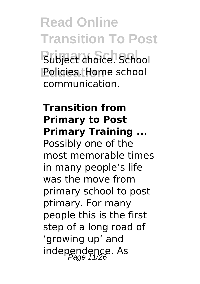**Read Online Transition To Post Primary School** Subject choice. School **Education** Policies. Home school communication.

### **Transition from Primary to Post Primary Training ...**

Possibly one of the most memorable times in many people's life was the move from primary school to post ptimary. For many people this is the first step of a long road of 'growing up' and independence. As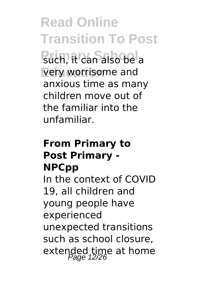**Read Online Transition To Post Puch, it can also be a** very worrisome and anxious time as many children move out of the familiar into the unfamiliar.

### **From Primary to Post Primary - NPCpp**

In the context of COVID 19, all children and young people have experienced unexpected transitions such as school closure, extended time at home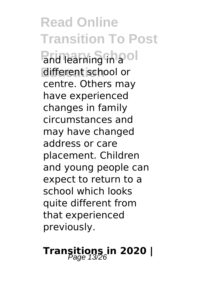**Read Online Transition To Post Primary in a**ol different school or centre. Others may have experienced changes in family circumstances and may have changed address or care placement. Children and young people can expect to return to a school which looks quite different from that experienced previously.

# **Transitions in 2020** |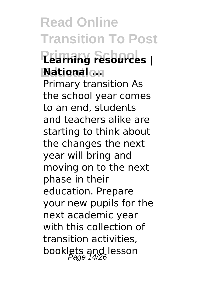**Read Online Transition To Post Primary School Learning resources | Education National ...** Primary transition As the school year comes to an end, students and teachers alike are starting to think about the changes the next year will bring and moving on to the next phase in their education. Prepare your new pupils for the next academic year with this collection of transition activities, booklets and lesson<br>Page 14/26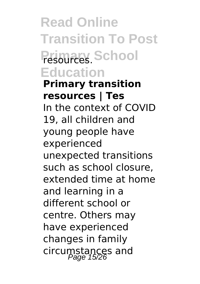**Read Online Transition To Post** Primary School **Education**

**Primary transition resources | Tes** In the context of COVID 19, all children and young people have experienced unexpected transitions such as school closure, extended time at home and learning in a different school or centre. Others may have experienced changes in family circumstances and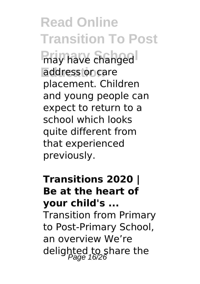**Read Online Transition To Post Primary have changed Education** address or care placement. Children and young people can expect to return to a school which looks quite different from that experienced previously.

### **Transitions 2020 | Be at the heart of your child's ...**

Transition from Primary to Post-Primary School, an overview We're delighted to share the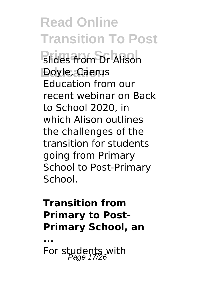**Read Online Transition To Post Primary Solides from Dr Alison Education** Doyle, Caerus Education from our recent webinar on Back to School 2020, in which Alison outlines the challenges of the transition for students going from Primary School to Post-Primary School.

### **Transition from Primary to Post-Primary School, an**

**...** For students with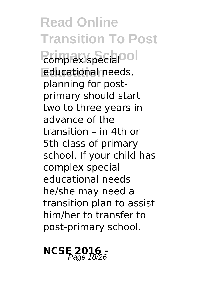**Read Online Transition To Post Primary specialool Education** educational needs, planning for postprimary should start two to three years in advance of the transition – in 4th or 5th class of primary school. If your child has complex special educational needs he/she may need a transition plan to assist him/her to transfer to post-primary school.

## **NCSE** 2016 -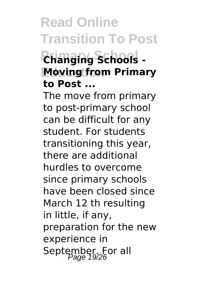# **Read Online Transition To Post**

### **Primary School Changing Schools - Moving from Primary to Post ...**

The move from primary to post-primary school can be difficult for any student. For students transitioning this year, there are additional hurdles to overcome since primary schools have been closed since March 12 th resulting in little, if any, preparation for the new experience in September. For all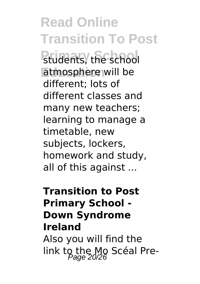# **Read Online Transition To Post**

**Primary School** students, the school atmosphere will be different; lots of different classes and many new teachers; learning to manage a timetable, new subjects, lockers, homework and study, all of this against ...

### **Transition to Post Primary School - Down Syndrome Ireland** Also you will find the

link to the Mo Scéal Pre-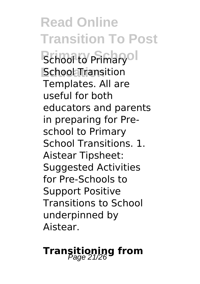**Read Online Transition To Post Bchool to Primary of Education** School Transition Templates. All are useful for both educators and parents in preparing for Preschool to Primary School Transitions. 1. Aistear Tipsheet: Suggested Activities for Pre-Schools to Support Positive Transitions to School underpinned by Aistear.

# **Transitioning from** Page 21/26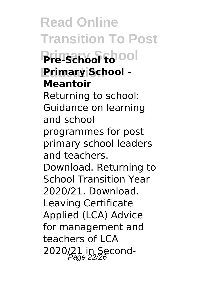**Read Online Transition To Post Primary School Pre-School to Education Primary School - Meantoir** Returning to school: Guidance on learning and school programmes for post primary school leaders and teachers. Download. Returning to School Transition Year 2020/21. Download. Leaving Certificate Applied (LCA) Advice for management and teachers of LCA 2020/21 in Second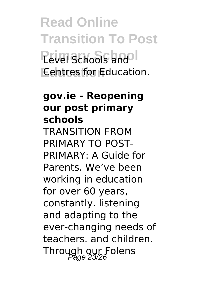**Read Online Transition To Post** Pevel Schools and<sup>ol</sup> **Education** Centres for Education.

### **gov.ie - Reopening our post primary schools**

TRANSITION FROM PRIMARY TO POST-PRIMARY: A Guide for Parents. We've been working in education for over 60 years, constantly. listening and adapting to the ever-changing needs of teachers. and children. Through our Folens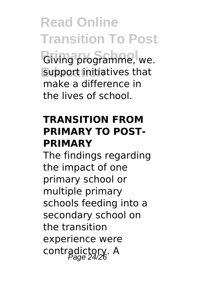**Read Online Transition To Post Giving programme, we. Education** support initiatives that make a difference in the lives of school.

### **TRANSITION FROM PRIMARY TO POST-PRIMARY**

The findings regarding the impact of one primary school or multiple primary schools feeding into a secondary school on the transition experience were contradictory. A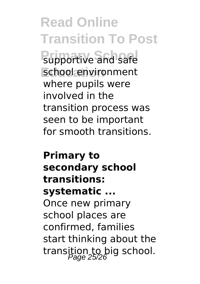**Read Online Transition To Post Pupportive and safe Education** school environment where pupils were involved in the transition process was seen to be important for smooth transitions.

**Primary to secondary school transitions: systematic ...** Once new primary school places are confirmed, families start thinking about the transition to big school.